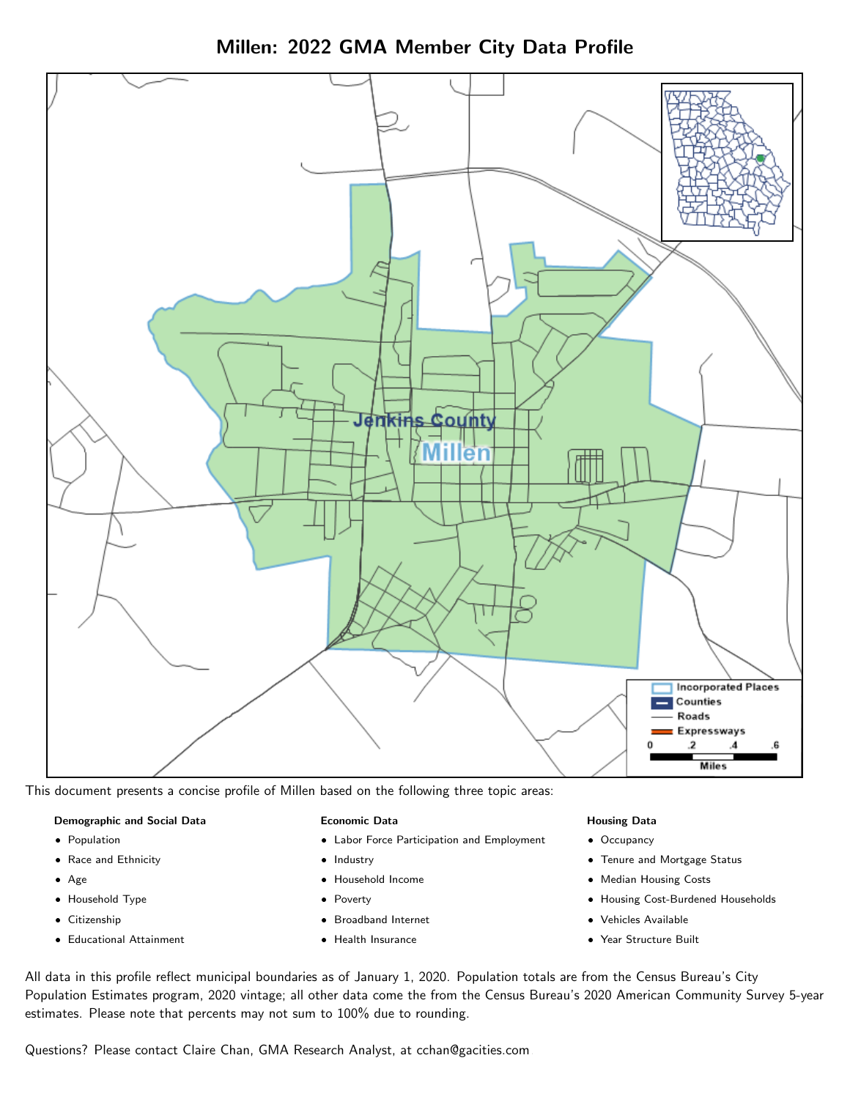

Millen: 2022 GMA Member City Data Profile

This document presents a concise profile of Millen based on the following three topic areas:

#### Demographic and Social Data

- **•** Population
- Race and Ethnicity
- Age
- Household Type
- **Citizenship**
- Educational Attainment

#### Economic Data

- Labor Force Participation and Employment
- Industry
- Household Income
- Poverty
- Broadband Internet
- Health Insurance

#### Housing Data

- Occupancy
- Tenure and Mortgage Status
- Median Housing Costs
- Housing Cost-Burdened Households
- Vehicles Available
- Year Structure Built

All data in this profile reflect municipal boundaries as of January 1, 2020. Population totals are from the Census Bureau's City Population Estimates program, 2020 vintage; all other data come the from the Census Bureau's 2020 American Community Survey 5-year estimates. Please note that percents may not sum to 100% due to rounding.

Questions? Please contact Claire Chan, GMA Research Analyst, at [cchan@gacities.com.](mailto:cchan@gacities.com)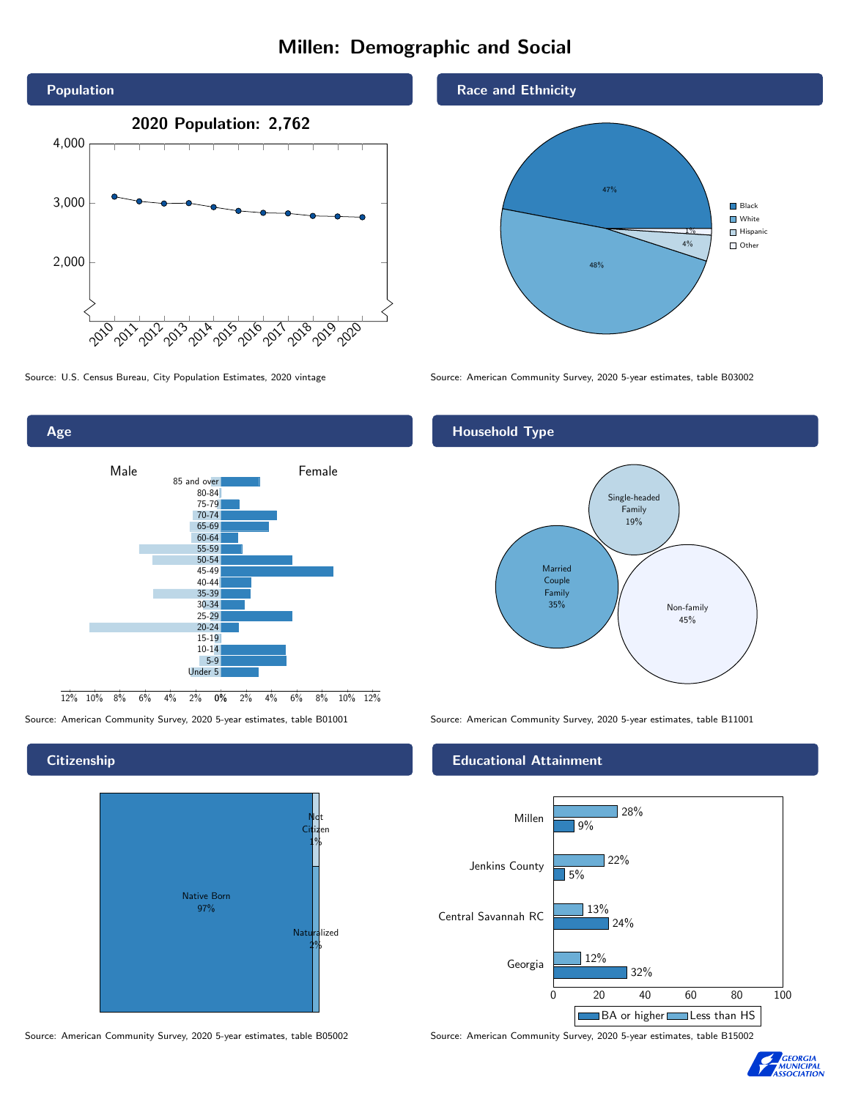# Millen: Demographic and Social





### **Citizenship**

Age



Race and Ethnicity



Source: U.S. Census Bureau, City Population Estimates, 2020 vintage Source: American Community Survey, 2020 5-year estimates, table B03002

## Household Type



Source: American Community Survey, 2020 5-year estimates, table B01001 Source: American Community Survey, 2020 5-year estimates, table B11001

#### Educational Attainment



Source: American Community Survey, 2020 5-year estimates, table B05002 Source: American Community Survey, 2020 5-year estimates, table B15002

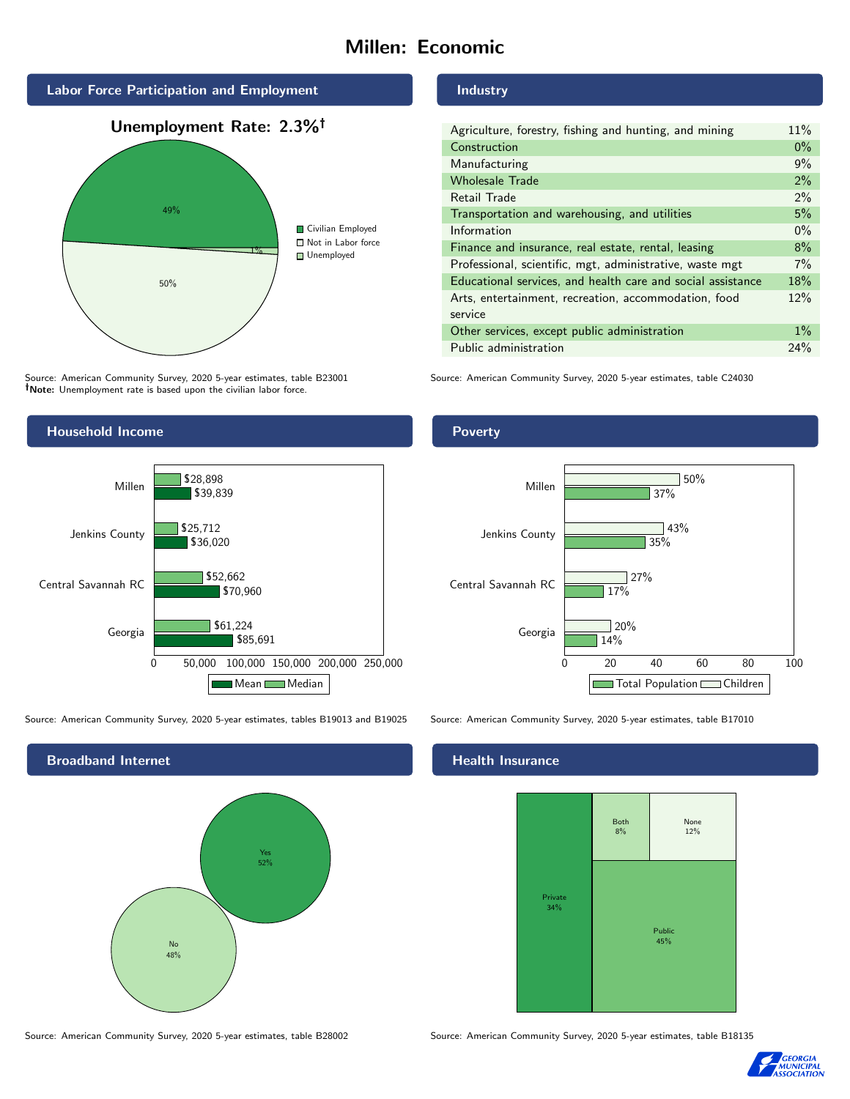# Millen: Economic



Source: American Community Survey, 2020 5-year estimates, table B23001 Note: Unemployment rate is based upon the civilian labor force.

#### Industry

| Agriculture, forestry, fishing and hunting, and mining      | 11%   |
|-------------------------------------------------------------|-------|
| Construction                                                | $0\%$ |
| Manufacturing                                               | 9%    |
| <b>Wholesale Trade</b>                                      | 2%    |
| Retail Trade                                                | 2%    |
| Transportation and warehousing, and utilities               | 5%    |
| Information                                                 | $0\%$ |
| Finance and insurance, real estate, rental, leasing         | 8%    |
| Professional, scientific, mgt, administrative, waste mgt    | 7%    |
| Educational services, and health care and social assistance | 18%   |
| Arts, entertainment, recreation, accommodation, food        | 12%   |
| service                                                     |       |
| Other services, except public administration                | $1\%$ |
| Public administration                                       | 24%   |

Source: American Community Survey, 2020 5-year estimates, table C24030



Source: American Community Survey, 2020 5-year estimates, tables B19013 and B19025 Source: American Community Survey, 2020 5-year estimates, table B17010

Broadband Internet No 48% Yes 52%

#### Poverty



## **Health Insurance**



Source: American Community Survey, 2020 5-year estimates, table B28002 Source: American Community Survey, 2020 5-year estimates, table B18135